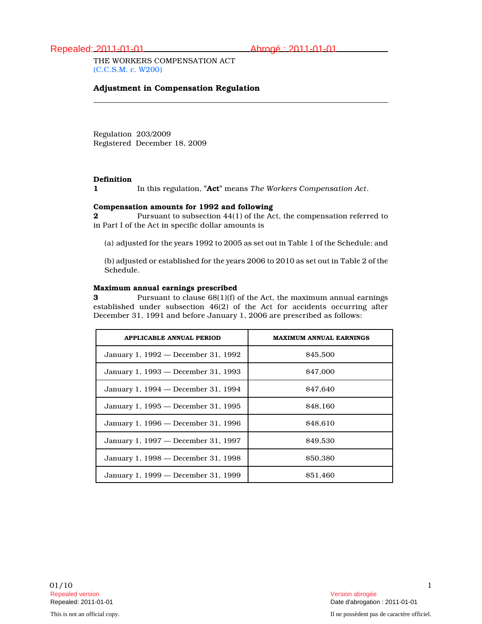# Repealed: 2011-01-01 Abrogé : 2011-01-01

THE WORKERS COMPENSATION ACT (C.C.S.M. c. W200)

### Adjustment in Compensation Regulation

Regulation 203/2009 Registered December 18, 2009

### **Definition**

1 In this regulation, "Act" means The Workers Compensation Act.

#### Compensation amounts for 1992 and following

2 Pursuant to subsection 44(1) of the Act, the compensation referred to in Part I of the Act in specific dollar amounts is

(a) adjusted for the years 1992 to 2005 as set out in Table 1 of the Schedule; and

(b) adjusted or established for the years 2006 to 2010 as set out in Table 2 of the Schedule.

#### Maximum annual earnings prescribed

**3** Pursuant to clause 68(1)(f) of the Act, the maximum annual earnings established under subsection 46(2) of the Act for accidents occurring after December 31, 1991 and before January 1, 2006 are prescribed as follows:

| <b>APPLICABLE ANNUAL PERIOD</b>     | <b>MAXIMUM ANNUAL EARNINGS</b> |
|-------------------------------------|--------------------------------|
| January 1, 1992 — December 31, 1992 | \$45,500                       |
| January 1, 1993 — December 31, 1993 | \$47,000                       |
| January 1, 1994 — December 31, 1994 | \$47.640                       |
| January 1, 1995 - December 31, 1995 | \$48,160                       |
| January 1, 1996 — December 31, 1996 | \$48.610                       |
| January 1, 1997 — December 31, 1997 | \$49.530                       |
| January 1, 1998 — December 31, 1998 | \$50,380                       |
| January 1, 1999 — December 31, 1999 | \$51.460                       |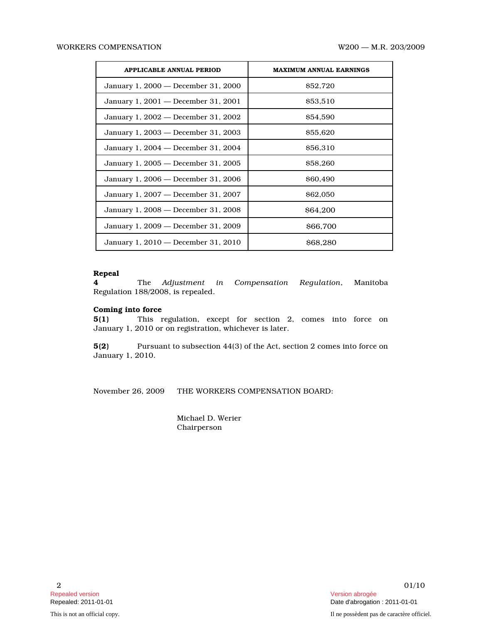| <b>APPLICABLE ANNUAL PERIOD</b>     | <b>MAXIMUM ANNUAL EARNINGS</b> |
|-------------------------------------|--------------------------------|
| January 1, 2000 — December 31, 2000 | \$52,720                       |
| January 1, 2001 — December 31, 2001 | \$53.510                       |
| January 1, 2002 — December 31, 2002 | <b>S54.590</b>                 |
| January 1, 2003 — December 31, 2003 | \$55,620                       |
| January 1, 2004 — December 31, 2004 | \$56,310                       |
| January 1, 2005 — December 31, 2005 | \$58,260                       |
| January 1, 2006 — December 31, 2006 | \$60,490                       |
| January 1, 2007 — December 31, 2007 | \$62,050                       |
| January 1, 2008 — December 31, 2008 | <b>\$64,200</b>                |
| January 1, 2009 - December 31, 2009 | \$66,700                       |
| January 1, 2010 — December 31, 2010 | <b>S68.280</b>                 |

## Repeal

4 The Adjustment in Compensation Regulation, Manitoba Regulation 188/2008, is repealed.

### Coming into force

5(1) This regulation, except for section 2, comes into force on January 1, 2010 or on registration, whichever is later.

5(2) Pursuant to subsection 44(3) of the Act, section 2 comes into force on January 1, 2010.

November 26, 2009 THE WORKERS COMPENSATION BOARD:

Michael D. Werier Chairperson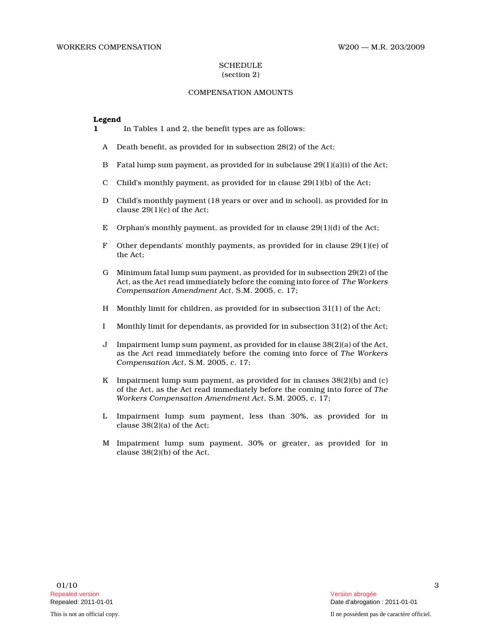#### **SCHEDULE** (section 2)

### COMPENSATION AMOUNTS

#### Legend

- 1 In Tables 1 and 2, the benefit types are as follows:
	- A Death benefit, as provided for in subsection 28(2) of the Act;
	- B Fatal lump sum payment, as provided for in subclause 29(1)(a)(i) of the Act;
	- C Child's monthly payment, as provided for in clause  $29(1)(b)$  of the Act;
	- D Child's monthly payment (18 years or over and in school), as provided for in clause 29(1)(c) of the Act;
	- E Orphan's monthly payment, as provided for in clause  $29(1)(d)$  of the Act;
	- F Other dependants' monthly payments, as provided for in clause 29(1)(e) of the Act;
	- G Minimum fatal lump sum payment, as provided for in subsection 29(2) of the Act, as the Act read immediately before the coming into force of The Workers Compensation Amendment Act, S.M. 2005, c. 17;
	- H Monthly limit for children, as provided for in subsection 31(1) of the Act;
	- I Monthly limit for dependants, as provided for in subsection 31(2) of the Act;
	- J Impairment lump sum payment, as provided for in clause 38(2)(a) of the Act, as the Act read immediately before the coming into force of The Workers Compensation Act, S.M. 2005, c. 17;
	- K Impairment lump sum payment, as provided for in clauses 38(2)(b) and (c) of the Act, as the Act read immediately before the coming into force of The Workers Compensation Amendment Act, S.M. 2005, c. 17;
	- L Impairment lump sum payment, less than 30%, as provided for in clause 38(2)(a) of the Act;
	- M Impairment lump sum payment, 30% or greater, as provided for in clause 38(2)(b) of the Act.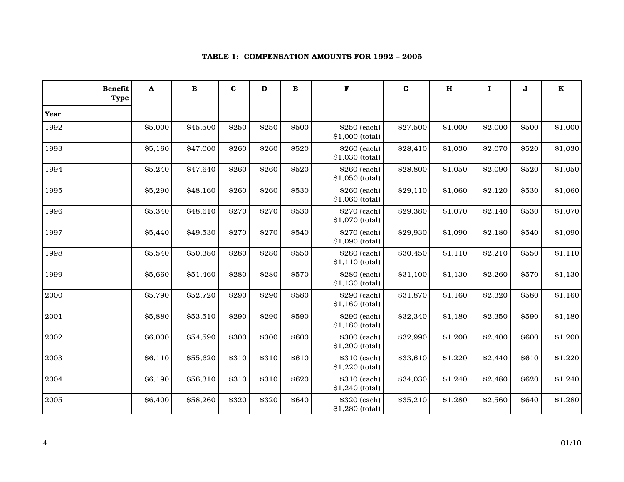| <b>Benefit</b><br><b>Type</b> | $\mathbf A$ | $\, {\bf B}$ | $\bf c$ | D     | ${\bf E}$ | F                               | $\bf G$  | $\mathbf H$ | $\mathbf{I}$ | J            | $\mathbf K$ |
|-------------------------------|-------------|--------------|---------|-------|-----------|---------------------------------|----------|-------------|--------------|--------------|-------------|
| Year                          |             |              |         |       |           |                                 |          |             |              |              |             |
| 1992                          | \$5,000     | \$45,500     | \$250   | \$250 | \$500     | \$250 (each)<br>\$1,000 (total) | \$27,500 | \$1,000     | \$2,000      | \$500        | \$1,000     |
| 1993                          | \$5,160     | \$47,000     | \$260   | \$260 | \$520     | \$260 (each)<br>\$1,030 (total) | \$28,410 | \$1,030     | \$2,070      | \$520        | \$1,030     |
| 1994                          | \$5,240     | \$47,640     | \$260   | \$260 | \$520     | \$260 (each)<br>\$1,050 (total) | \$28,800 | \$1,050     | \$2,090      | \$520        | \$1,050     |
| 1995                          | \$5,290     | \$48,160     | \$260   | \$260 | \$530     | \$260 (each)<br>\$1,060 (total) | \$29,110 | \$1,060     | \$2,120      | \$530        | \$1,060     |
| 1996                          | \$5,340     | \$48,610     | \$270   | \$270 | \$530     | \$270 (each)<br>\$1,070 (total) | \$29,380 | \$1,070     | \$2,140      | \$530        | \$1,070     |
| 1997                          | \$5,440     | \$49,530     | \$270   | \$270 | \$540     | \$270 (each)<br>\$1,090 (total) | \$29,930 | \$1,090     | \$2,180      | \$540        | \$1,090     |
| 1998                          | \$5,540     | \$50,380     | \$280   | \$280 | \$550     | \$280 (each)<br>\$1,110 (total) | \$30,450 | \$1,110     | \$2,210      | \$550        | \$1,110     |
| 1999                          | \$5,660     | \$51,460     | \$280   | \$280 | \$570     | \$280 (each)<br>\$1,130 (total) | \$31,100 | \$1,130     | \$2,260      | \$570        | \$1,130     |
| 2000                          | \$5,790     | \$52,720     | \$290   | \$290 | \$580     | \$290 (each)<br>\$1,160 (total) | \$31,870 | \$1,160     | \$2,320      | \$580        | \$1,160     |
| 2001                          | \$5,880     | \$53,510     | \$290   | \$290 | \$590     | \$290 (each)<br>\$1,180 (total) | \$32,340 | \$1,180     | \$2,350      | \$590        | \$1,180     |
| 2002                          | \$6,000     | \$54,590     | \$300   | \$300 | \$600     | \$300 (each)<br>\$1,200 (total) | \$32,990 | \$1,200     | \$2,400      | \$600        | \$1,200     |
| 2003                          | \$6,110     | \$55,620     | \$310   | \$310 | \$610     | \$310 (each)<br>\$1,220 (total) | \$33,610 | \$1,220     | \$2,440      | \$610        | \$1,220     |
| 2004                          | \$6,190     | \$56,310     | \$310   | \$310 | \$620     | \$310 (each)<br>\$1,240 (total) | \$34,030 | \$1,240     | \$2,480      | \$620        | \$1,240     |
| 2005                          | \$6,400     | \$58,260     | \$320   | \$320 | \$640     | \$320 (each)<br>\$1,280 (total) | \$35,210 | \$1,280     | \$2,560      | <b>\$640</b> | \$1,280     |

### TABLE 1: COMPENSATION AMOUNTS FOR 1992 – 2005